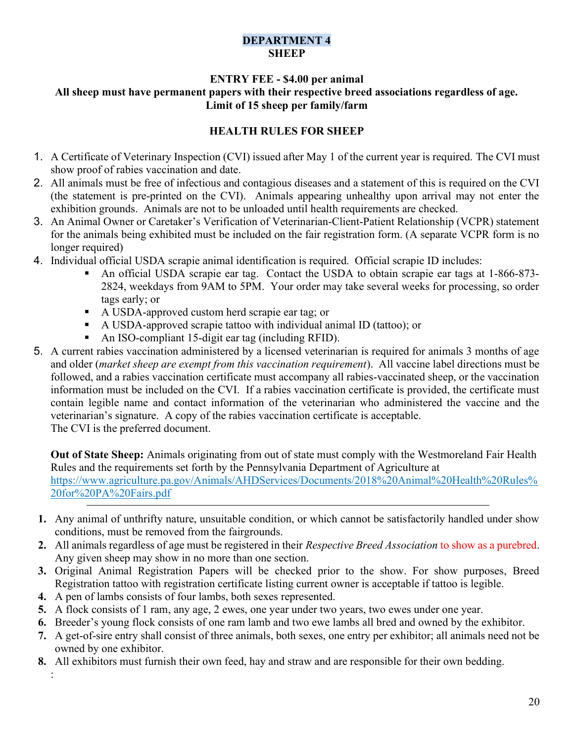## DEPARTMENT 4 **SHEEP**

### ENTRY FEE - \$4.00 per animal All sheep must have permanent papers with their respective breed associations regardless of age. Limit of 15 sheep per family/farm

# HEALTH RULES FOR SHEEP

- 1. A Certificate of Veterinary Inspection (CVI) issued after May 1 of the current year is required. The CVI must show proof of rabies vaccination and date.
- 2. All animals must be free of infectious and contagious diseases and a statement of this is required on the CVI (the statement is pre-printed on the CVI). Animals appearing unhealthy upon arrival may not enter the exhibition grounds. Animals are not to be unloaded until health requirements are checked.
- 3. An Animal Owner or Caretaker's Verification of Veterinarian-Client-Patient Relationship (VCPR) statement for the animals being exhibited must be included on the fair registration form. (A separate VCPR form is no longer required)
- 4. Individual official USDA scrapie animal identification is required. Official scrapie ID includes:
	- An official USDA scrapie ear tag. Contact the USDA to obtain scrapie ear tags at 1-866-873- 2824, weekdays from 9AM to 5PM. Your order may take several weeks for processing, so order tags early; or
	- A USDA-approved custom herd scrapie ear tag; or
	- A USDA-approved scrapie tattoo with individual animal ID (tattoo); or
	- An ISO-compliant 15-digit ear tag (including RFID).
- 5. A current rabies vaccination administered by a licensed veterinarian is required for animals 3 months of age and older (market sheep are exempt from this vaccination requirement). All vaccine label directions must be followed, and a rabies vaccination certificate must accompany all rabies-vaccinated sheep, or the vaccination information must be included on the CVI. If a rabies vaccination certificate is provided, the certificate must contain legible name and contact information of the veterinarian who administered the vaccine and the veterinarian's signature. A copy of the rabies vaccination certificate is acceptable. The CVI is the preferred document.

Out of State Sheep: Animals originating from out of state must comply with the Westmoreland Fair Health Rules and the requirements set forth by the Pennsylvania Department of Agriculture at https://www.agriculture.pa.gov/Animals/AHDServices/Documents/2018%20Animal%20Health%20Rules% 20for%20PA%20Fairs.pdf

- 1. Any animal of unthrifty nature, unsuitable condition, or which cannot be satisfactorily handled under show conditions, must be removed from the fairgrounds.
- 2. All animals regardless of age must be registered in their Respective Breed Association to show as a purebred. Any given sheep may show in no more than one section.
- 3. Original Animal Registration Papers will be checked prior to the show. For show purposes, Breed Registration tattoo with registration certificate listing current owner is acceptable if tattoo is legible.
- 4. A pen of lambs consists of four lambs, both sexes represented.

:

- 5. A flock consists of 1 ram, any age, 2 ewes, one year under two years, two ewes under one year.
- 6. Breeder's young flock consists of one ram lamb and two ewe lambs all bred and owned by the exhibitor.
- 7. A get-of-sire entry shall consist of three animals, both sexes, one entry per exhibitor; all animals need not be owned by one exhibitor.
- 8. All exhibitors must furnish their own feed, hay and straw and are responsible for their own bedding.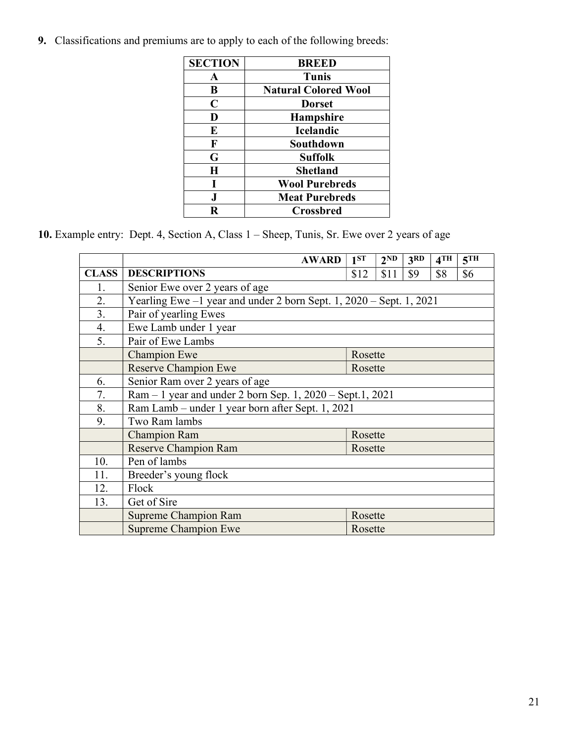9. Classifications and premiums are to apply to each of the following breeds:

| <b>SECTION</b> | <b>BREED</b>                |
|----------------|-----------------------------|
| $\mathbf A$    | Tunis                       |
| B              | <b>Natural Colored Wool</b> |
| C              | <b>Dorset</b>               |
| D              | <b>Hampshire</b>            |
| E              | <b>Icelandic</b>            |
| F              | Southdown                   |
| G              | <b>Suffolk</b>              |
| $\bf H$        | <b>Shetland</b>             |
| L              | <b>Wool Purebreds</b>       |
| J.             | <b>Meat Purebreds</b>       |
| R              | <b>Crossbred</b>            |

10. Example entry: Dept. 4, Section A, Class 1 – Sheep, Tunis, Sr. Ewe over 2 years of age

|              | <b>AWARD</b>                                                          | $1^{ST}$ | $2^{\overline{ND}}$ | 3 <sub>RD</sub> | $4$ TH | 5 <sup>TH</sup> |  |  |
|--------------|-----------------------------------------------------------------------|----------|---------------------|-----------------|--------|-----------------|--|--|
| <b>CLASS</b> | <b>DESCRIPTIONS</b>                                                   | \$12     | \$11                | \$9             | \$8    | \$6             |  |  |
| 1.           | Senior Ewe over 2 years of age                                        |          |                     |                 |        |                 |  |  |
| 2.           | Yearling Ewe $-1$ year and under 2 born Sept. 1, 2020 – Sept. 1, 2021 |          |                     |                 |        |                 |  |  |
| 3.           | Pair of yearling Ewes                                                 |          |                     |                 |        |                 |  |  |
| 4.           | Ewe Lamb under 1 year                                                 |          |                     |                 |        |                 |  |  |
| 5.           | Pair of Ewe Lambs                                                     |          |                     |                 |        |                 |  |  |
|              | <b>Champion Ewe</b>                                                   | Rosette  |                     |                 |        |                 |  |  |
|              | <b>Reserve Champion Ewe</b>                                           | Rosette  |                     |                 |        |                 |  |  |
| 6.           | Senior Ram over 2 years of age                                        |          |                     |                 |        |                 |  |  |
| 7.           | $Ram - 1$ year and under 2 born Sep. 1, $2020 - Sept.1$ , $2021$      |          |                     |                 |        |                 |  |  |
| 8.           | Ram Lamb – under 1 year born after Sept. 1, 2021                      |          |                     |                 |        |                 |  |  |
| 9.           | Two Ram lambs                                                         |          |                     |                 |        |                 |  |  |
|              | <b>Champion Ram</b>                                                   | Rosette  |                     |                 |        |                 |  |  |
|              | <b>Reserve Champion Ram</b>                                           | Rosette  |                     |                 |        |                 |  |  |
| 10.          | Pen of lambs                                                          |          |                     |                 |        |                 |  |  |
| 11.          | Breeder's young flock                                                 |          |                     |                 |        |                 |  |  |
| 12.          | Flock                                                                 |          |                     |                 |        |                 |  |  |
| 13.          | Get of Sire                                                           |          |                     |                 |        |                 |  |  |
|              | <b>Supreme Champion Ram</b>                                           | Rosette  |                     |                 |        |                 |  |  |
|              | <b>Supreme Champion Ewe</b>                                           | Rosette  |                     |                 |        |                 |  |  |